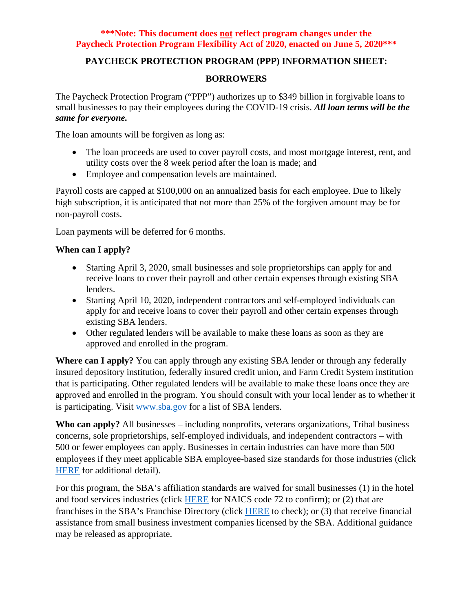## **PAYCHECK PROTECTION PROGRAM (PPP) INFORMATION SHEET:**

#### **BORROWERS**

The Paycheck Protection Program ("PPP") authorizes up to \$349 billion in forgivable loans to small businesses to pay their employees during the COVID-19 crisis. *All loan terms will be the same for everyone.*

The loan amounts will be forgiven as long as:

- The loan proceeds are used to cover payroll costs, and most mortgage interest, rent, and utility costs over the 8 week period after the loan is made; and
- Employee and compensation levels are maintained.

Payroll costs are capped at \$100,000 on an annualized basis for each employee. Due to likely high subscription, it is anticipated that not more than 25% of the forgiven amount may be for non-payroll costs.

Loan payments will be deferred for 6 months.

## **When can I apply?**

- Starting April 3, 2020, small businesses and sole proprietorships can apply for and receive loans to cover their payroll and other certain expenses through existing SBA lenders.
- Starting April 10, 2020, independent contractors and self-employed individuals can apply for and receive loans to cover their payroll and other certain expenses through existing SBA lenders.
- Other regulated lenders will be available to make these loans as soon as they are approved and enrolled in the program.

**Where can I apply?** You can apply through any existing SBA lender or through any federally insured depository institution, federally insured credit union, and Farm Credit System institution that is participating. Other regulated lenders will be available to make these loans once they are approved and enrolled in the program. You should consult with your local lender as to whether it is participating. Visit [www.sba.gov](http://www.sba.gov/) for a list of SBA lenders.

**Who can apply?** All businesses – including nonprofits, veterans organizations, Tribal business concerns, sole proprietorships, self-employed individuals, and independent contractors – with 500 or fewer employees can apply. Businesses in certain industries can have more than 500 employees if they meet applicable SBA employee-based size standards for those industries (click [HERE](https://www.sba.gov/federal-contracting/contracting-guide/size-standards) for additional detail).

For this program, the SBA's affiliation standards are waived for small businesses (1) in the hotel and food services industries (click [HERE](https://www.census.gov/eos/www/naics/) for NAICS code 72 to confirm); or (2) that are franchises in the SBA's Franchise Directory (click [HERE](https://www.sba.gov/sba-franchise-directory) to check); or (3) that receive financial assistance from small business investment companies licensed by the SBA. Additional guidance may be released as appropriate.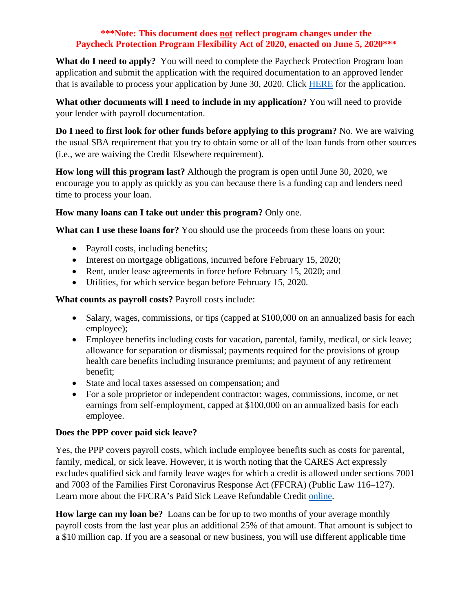**What do I need to apply?** You will need to complete the Paycheck Protection Program loan application and submit the application with the required documentation to an approved lender that is available to process your application by June 30, 2020. Click [HERE](https://home.treasury.gov/system/files/136/PPP-Borrower-Application-Form-Revised-June-12-2020.pdf) for the application.

**What other documents will I need to include in my application?** You will need to provide your lender with payroll documentation.

**Do I need to first look for other funds before applying to this program?** No. We are waiving the usual SBA requirement that you try to obtain some or all of the loan funds from other sources (i.e., we are waiving the Credit Elsewhere requirement).

**How long will this program last?** Although the program is open until June 30, 2020, we encourage you to apply as quickly as you can because there is a funding cap and lenders need time to process your loan.

## **How many loans can I take out under this program?** Only one.

**What can I use these loans for?** You should use the proceeds from these loans on your:

- Payroll costs, including benefits;
- Interest on mortgage obligations, incurred before February 15, 2020;
- Rent, under lease agreements in force before February 15, 2020; and
- Utilities, for which service began before February 15, 2020.

**What counts as payroll costs?** Payroll costs include:

- Salary, wages, commissions, or tips (capped at \$100,000 on an annualized basis for each employee);
- Employee benefits including costs for vacation, parental, family, medical, or sick leave; allowance for separation or dismissal; payments required for the provisions of group health care benefits including insurance premiums; and payment of any retirement benefit;
- State and local taxes assessed on compensation; and
- For a sole proprietor or independent contractor: wages, commissions, income, or net earnings from self-employment, capped at \$100,000 on an annualized basis for each employee.

# **Does the PPP cover paid sick leave?**

Yes, the PPP covers payroll costs, which include employee benefits such as costs for parental, family, medical, or sick leave. However, it is worth noting that the CARES Act expressly excludes qualified sick and family leave wages for which a credit is allowed under sections 7001 and 7003 of the Families First Coronavirus Response Act (FFCRA) (Public Law 116–127). Learn more about the FFCRA's Paid Sick Leave Refundable Credit [online.](https://www.irs.gov/newsroom/covid-19-related-tax-credits-for-required-paid-leave-provided-by-small-and-midsize-businesses-faqs)

**How large can my loan be?** Loans can be for up to two months of your average monthly payroll costs from the last year plus an additional 25% of that amount. That amount is subject to a \$10 million cap. If you are a seasonal or new business, you will use different applicable time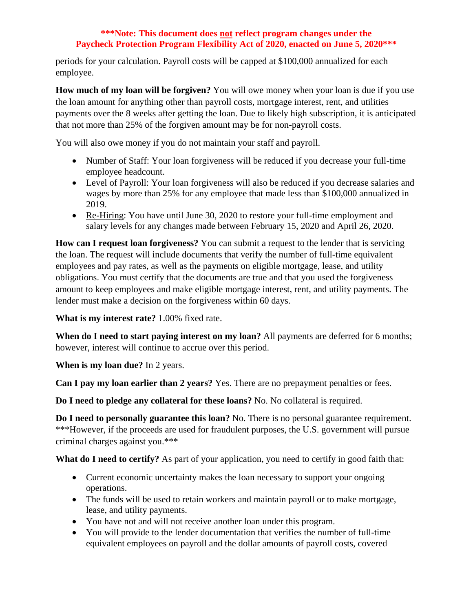periods for your calculation. Payroll costs will be capped at \$100,000 annualized for each employee.

**How much of my loan will be forgiven?** You will owe money when your loan is due if you use the loan amount for anything other than payroll costs, mortgage interest, rent, and utilities payments over the 8 weeks after getting the loan. Due to likely high subscription, it is anticipated that not more than 25% of the forgiven amount may be for non-payroll costs.

You will also owe money if you do not maintain your staff and payroll.

- Number of Staff: Your loan forgiveness will be reduced if you decrease your full-time employee headcount.
- Level of Payroll: Your loan forgiveness will also be reduced if you decrease salaries and wages by more than 25% for any employee that made less than \$100,000 annualized in 2019.
- Re-Hiring: You have until June 30, 2020 to restore your full-time employment and salary levels for any changes made between February 15, 2020 and April 26, 2020.

**How can I request loan forgiveness?** You can submit a request to the lender that is servicing the loan. The request will include documents that verify the number of full-time equivalent employees and pay rates, as well as the payments on eligible mortgage, lease, and utility obligations. You must certify that the documents are true and that you used the forgiveness amount to keep employees and make eligible mortgage interest, rent, and utility payments. The lender must make a decision on the forgiveness within 60 days.

**What is my interest rate?** 1.00% fixed rate.

**When do I need to start paying interest on my loan?** All payments are deferred for 6 months; however, interest will continue to accrue over this period.

**When is my loan due?** In 2 years.

**Can I pay my loan earlier than 2 years?** Yes. There are no prepayment penalties or fees.

**Do I need to pledge any collateral for these loans?** No. No collateral is required.

**Do I need to personally guarantee this loan?** No. There is no personal guarantee requirement. \*\*\*However, if the proceeds are used for fraudulent purposes, the U.S. government will pursue criminal charges against you.\*\*\*

What do I need to certify? As part of your application, you need to certify in good faith that:

- Current economic uncertainty makes the loan necessary to support your ongoing operations.
- The funds will be used to retain workers and maintain payroll or to make mortgage, lease, and utility payments.
- You have not and will not receive another loan under this program.
- You will provide to the lender documentation that verifies the number of full-time equivalent employees on payroll and the dollar amounts of payroll costs, covered